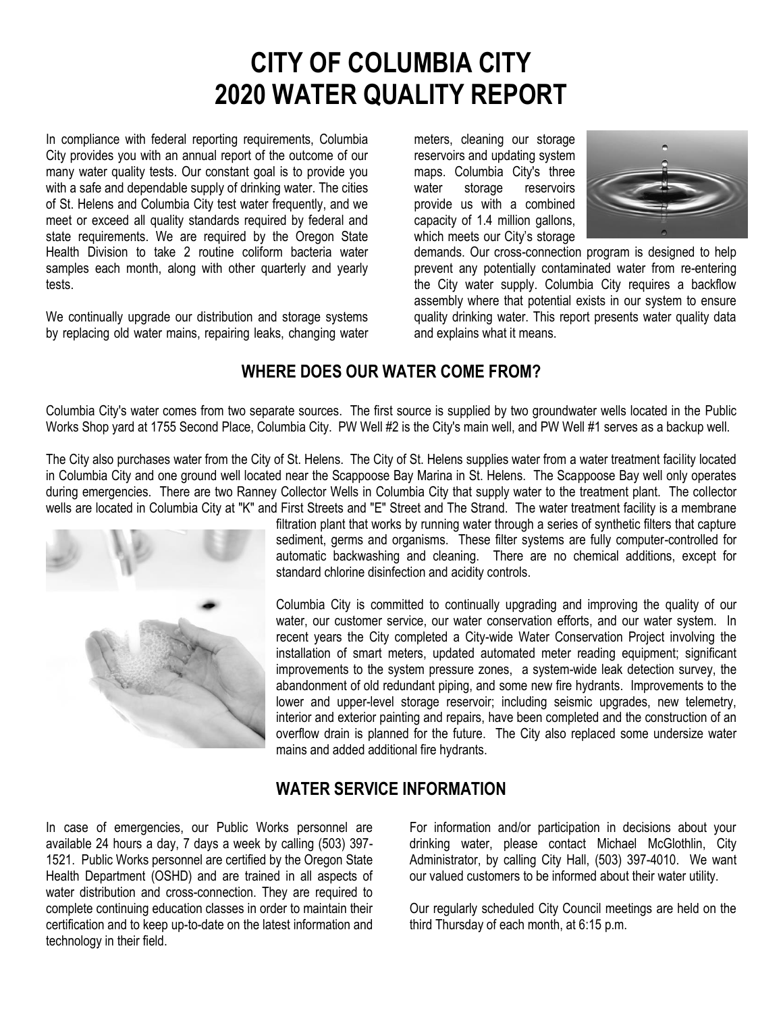# **CITY OF COLUMBIA CITY 2020 WATER QUALITY REPORT**

In compliance with federal reporting requirements, Columbia City provides you with an annual report of the outcome of our many water quality tests. Our constant goal is to provide you with a safe and dependable supply of drinking water. The cities of St. Helens and Columbia City test water frequently, and we meet or exceed all quality standards required by federal and state requirements. We are required by the Oregon State Health Division to take 2 routine coliform bacteria water samples each month, along with other quarterly and yearly tests.

We continually upgrade our distribution and storage systems by replacing old water mains, repairing leaks, changing water meters, cleaning our storage reservoirs and updating system maps. Columbia City's three water storage reservoirs provide us with a combined capacity of 1.4 million gallons, which meets our City's storage



demands. Our cross-connection program is designed to help prevent any potentially contaminated water from re-entering the City water supply. Columbia City requires a backflow assembly where that potential exists in our system to ensure quality drinking water. This report presents water quality data and explains what it means.

# **WHERE DOES OUR WATER COME FROM?**

Columbia City's water comes from two separate sources. The first source is supplied by two groundwater wells located in the Public Works Shop yard at 1755 Second Place, Columbia City. PW Well #2 is the City's main well, and PW Well #1 serves as a backup well.

The City also purchases water from the City of St. Helens. The City of St. Helens supplies water from a water treatment facility located in Columbia City and one ground well located near the Scappoose Bay Marina in St. Helens. The Scappoose Bay well only operates during emergencies. There are two Ranney Collector Wells in Columbia City that supply water to the treatment plant. The collector wells are located in Columbia City at "K" and First Streets and "E" Street and The Strand. The water treatment facility is a membrane



filtration plant that works by running water through a series of synthetic filters that capture sediment, germs and organisms. These filter systems are fully computer-controlled for automatic backwashing and cleaning. There are no chemical additions, except for standard chlorine disinfection and acidity controls.

Columbia City is committed to continually upgrading and improving the quality of our water, our customer service, our water conservation efforts, and our water system. In recent years the City completed a City-wide Water Conservation Project involving the installation of smart meters, updated automated meter reading equipment; significant improvements to the system pressure zones, a system-wide leak detection survey, the abandonment of old redundant piping, and some new fire hydrants. Improvements to the lower and upper-level storage reservoir; including seismic upgrades, new telemetry, interior and exterior painting and repairs, have been completed and the construction of an overflow drain is planned for the future. The City also replaced some undersize water mains and added additional fire hydrants.

# **WATER SERVICE INFORMATION**

In case of emergencies, our Public Works personnel are available 24 hours a day, 7 days a week by calling (503) 397- 1521. Public Works personnel are certified by the Oregon State Health Department (OSHD) and are trained in all aspects of water distribution and cross-connection. They are required to complete continuing education classes in order to maintain their certification and to keep up-to-date on the latest information and technology in their field.

For information and/or participation in decisions about your drinking water, please contact Michael McGlothlin, City Administrator, by calling City Hall, (503) 397-4010. We want our valued customers to be informed about their water utility.

Our regularly scheduled City Council meetings are held on the third Thursday of each month, at 6:15 p.m.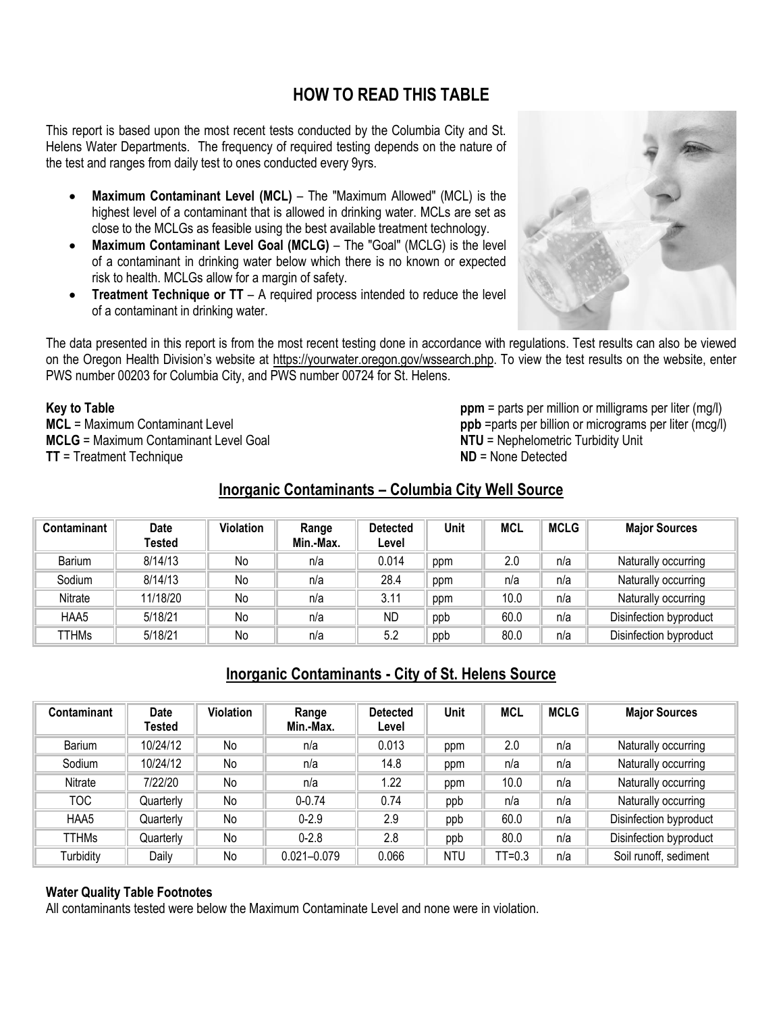# **HOW TO READ THIS TABLE**

This report is based upon the most recent tests conducted by the Columbia City and St. Helens Water Departments. The frequency of required testing depends on the nature of the test and ranges from daily test to ones conducted every 9yrs.

- **Maximum Contaminant Level (MCL)** The "Maximum Allowed" (MCL) is the highest level of a contaminant that is allowed in drinking water. MCLs are set as close to the MCLGs as feasible using the best available treatment technology.
- **Maximum Contaminant Level Goal (MCLG)** The "Goal" (MCLG) is the level of a contaminant in drinking water below which there is no known or expected risk to health. MCLGs allow for a margin of safety.
- **Treatment Technique or TT** A required process intended to reduce the level of a contaminant in drinking water.



The data presented in this report is from the most recent testing done in accordance with regulations. Test results can also be viewed on the Oregon Health Division's website at [https://yourwater.oregon.gov/wssearch.php.](https://yourwater.oregon.gov/wssearch.php) To view the test results on the website, enter PWS number 00203 for Columbia City, and PWS number 00724 for St. Helens.

**Key to Table**

**MCL** = Maximum Contaminant Level **MCLG** = Maximum Contaminant Level Goal **TT** = Treatment Technique

**ppm** = parts per million or milligrams per liter (mg/l) **ppb** =parts per billion or micrograms per liter (mcg/l) **NTU** = Nephelometric Turbidity Unit **ND** = None Detected

# **Inorganic Contaminants – Columbia City Well Source**

| Contaminant   | <b>Date</b><br>Tested | <b>Violation</b> | Range<br>Min.-Max. | <b>Detected</b><br>Level | Unit | <b>MCL</b> | <b>MCLG</b> | <b>Major Sources</b>   |
|---------------|-----------------------|------------------|--------------------|--------------------------|------|------------|-------------|------------------------|
| <b>Barium</b> | 8/14/13               | No               | n/a                | 0.014                    | ppm  | 2.0        | n/a         | Naturally occurring    |
| Sodium        | 8/14/13               | No               | n/a                | 28.4                     | ppm  | n/a        | n/a         | Naturally occurring    |
| Nitrate       | 11/18/20              | No               | n/a                | 3.11                     | ppm  | 10.0       | n/a         | Naturally occurring    |
| HAA5          | 5/18/21               | No               | n/a                | <b>ND</b>                | ppb  | 60.0       | n/a         | Disinfection byproduct |
| TTHMs         | 5/18/21               | No               | n/a                | 5.2                      | ppb  | 80.0       | n/a         | Disinfection byproduct |

# **Inorganic Contaminants - City of St. Helens Source**

| <b>Contaminant</b> | <b>Date</b><br>Tested | Violation | Range<br>Min.-Max. | <b>Detected</b><br>Level | Unit       | <b>MCL</b> | <b>MCLG</b> | <b>Major Sources</b>   |
|--------------------|-----------------------|-----------|--------------------|--------------------------|------------|------------|-------------|------------------------|
| <b>Barium</b>      | 10/24/12              | No        | n/a                | 0.013                    | ppm        | 2.0        | n/a         | Naturally occurring    |
| Sodium             | 10/24/12              | No        | n/a                | 14.8                     | ppm        | n/a        | n/a         | Naturally occurring    |
| Nitrate            | 7/22/20               | No        | n/a                | 1.22                     | ppm        | 10.0       | n/a         | Naturally occurring    |
| <b>TOC</b>         | Quarterly             | No        | $0 - 0.74$         | 0.74                     | ppb        | n/a        | n/a         | Naturally occurring    |
| HAA5               | Quarterly             | No        | $0 - 2.9$          | 2.9                      | ppb        | 60.0       | n/a         | Disinfection byproduct |
| <b>TTHMs</b>       | Quarterly             | No        | $0 - 2.8$          | 2.8                      | ppb        | 80.0       | n/a         | Disinfection byproduct |
| Turbidity          | Daily                 | No        | $0.021 - 0.079$    | 0.066                    | <b>NTU</b> | $TT = 0.3$ | n/a         | Soil runoff, sediment  |

#### **Water Quality Table Footnotes**

All contaminants tested were below the Maximum Contaminate Level and none were in violation.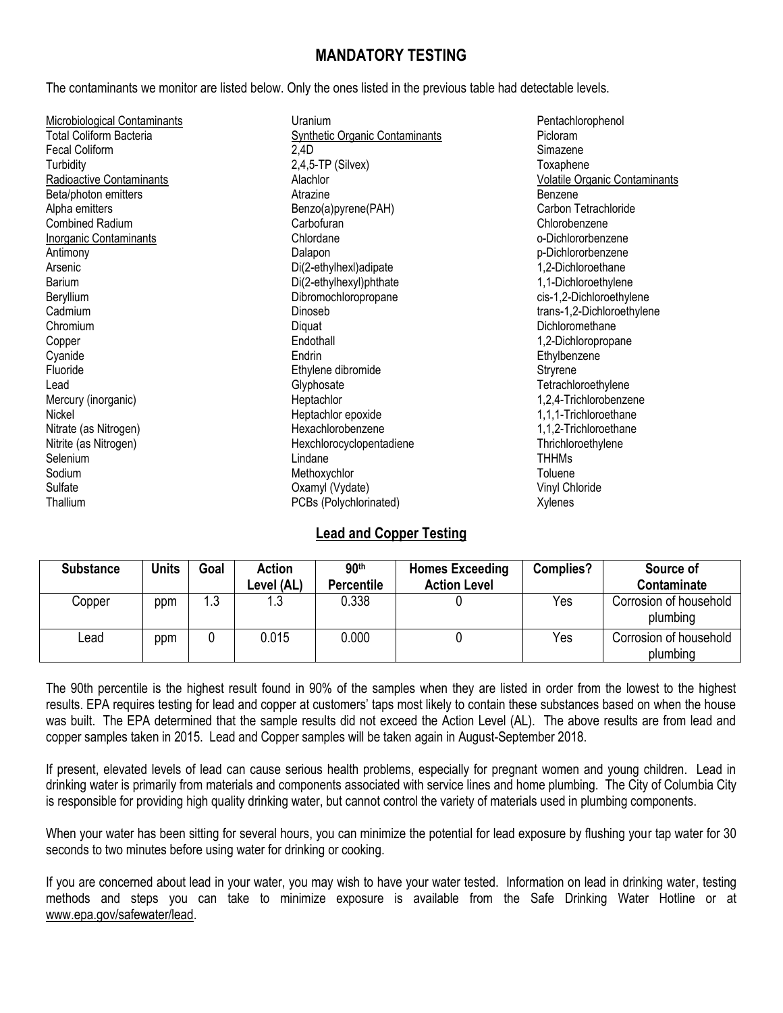### **MANDATORY TESTING**

The contaminants we monitor are listed below. Only the ones listed in the previous table had detectable levels.

| Microbiological Contaminants   | Uranium                               | Pentachlorophenol                    |
|--------------------------------|---------------------------------------|--------------------------------------|
| <b>Total Coliform Bacteria</b> | <b>Synthetic Organic Contaminants</b> | Picloram                             |
| <b>Fecal Coliform</b>          | 2,4D                                  | Simazene                             |
| Turbidity                      | $2,4,5$ -TP (Silvex)                  | Toxaphene                            |
| Radioactive Contaminants       | Alachlor                              | <b>Volatile Organic Contaminants</b> |
| Beta/photon emitters           | Atrazine                              | Benzene                              |
| Alpha emitters                 | Benzo(a)pyrene(PAH)                   | Carbon Tetrachloride                 |
| <b>Combined Radium</b>         | Carbofuran                            | Chlorobenzene                        |
| <b>Inorganic Contaminants</b>  | Chlordane                             | o-Dichlororbenzene                   |
| Antimony                       | Dalapon                               | p-Dichlororbenzene                   |
| Arsenic                        | Di(2-ethylhexl)adipate                | 1,2-Dichloroethane                   |
| Barium                         | Di(2-ethylhexyl)phthate               | 1,1-Dichloroethylene                 |
| Beryllium                      | Dibromochloropropane                  | cis-1,2-Dichloroethylene             |
| Cadmium                        | Dinoseb                               | trans-1,2-Dichloroethylene           |
| Chromium                       | Diquat                                | Dichloromethane                      |
| Copper                         | Endothall                             | 1,2-Dichloropropane                  |
| Cyanide                        | Endrin                                | Ethylbenzene                         |
| Fluoride                       | Ethylene dibromide                    | Stryrene                             |
| Lead                           | Glyphosate                            | Tetrachloroethylene                  |
| Mercury (inorganic)            | Heptachlor                            | 1,2,4-Trichlorobenzene               |
| Nickel                         | Heptachlor epoxide                    | 1,1,1-Trichloroethane                |
| Nitrate (as Nitrogen)          | Hexachlorobenzene                     | 1,1,2-Trichloroethane                |
| Nitrite (as Nitrogen)          | Hexchlorocyclopentadiene              | Thrichloroethylene                   |
| Selenium                       | Lindane                               | <b>THHMs</b>                         |
| Sodium                         | Methoxychlor                          | Toluene                              |
| Sulfate                        | Oxamyl (Vydate)                       | Vinyl Chloride                       |
| Thallium                       | PCBs (Polychlorinated)                | Xylenes                              |

#### **Lead and Copper Testing**

| <b>Substance</b> | <b>Units</b> | Goal | Action<br>Level (AL) | 90 <sup>th</sup><br><b>Percentile</b> | <b>Homes Exceeding</b><br><b>Action Level</b> | Complies? | Source of<br>Contaminate           |
|------------------|--------------|------|----------------------|---------------------------------------|-----------------------------------------------|-----------|------------------------------------|
| Copper           | ppm          | 1.3  | ∣.3                  | 0.338                                 |                                               | Yes       | Corrosion of household<br>plumbing |
| Lead             | ppm          |      | 0.015                | 0.000                                 |                                               | Yes       | Corrosion of household<br>plumbing |

The 90th percentile is the highest result found in 90% of the samples when they are listed in order from the lowest to the highest results. EPA requires testing for lead and copper at customers' taps most likely to contain these substances based on when the house was built. The EPA determined that the sample results did not exceed the Action Level (AL). The above results are from lead and copper samples taken in 2015. Lead and Copper samples will be taken again in August-September 2018.

If present, elevated levels of lead can cause serious health problems, especially for pregnant women and young children. Lead in drinking water is primarily from materials and components associated with service lines and home plumbing. The City of Columbia City is responsible for providing high quality drinking water, but cannot control the variety of materials used in plumbing components.

When your water has been sitting for several hours, you can minimize the potential for lead exposure by flushing your tap water for 30 seconds to two minutes before using water for drinking or cooking.

If you are concerned about lead in your water, you may wish to have your water tested. Information on lead in drinking water, testing methods and steps you can take to minimize exposure is available from the Safe Drinking Water Hotline or at [www.epa.gov/safewater/lead.](http://www.epa.gov/safewater/lead)